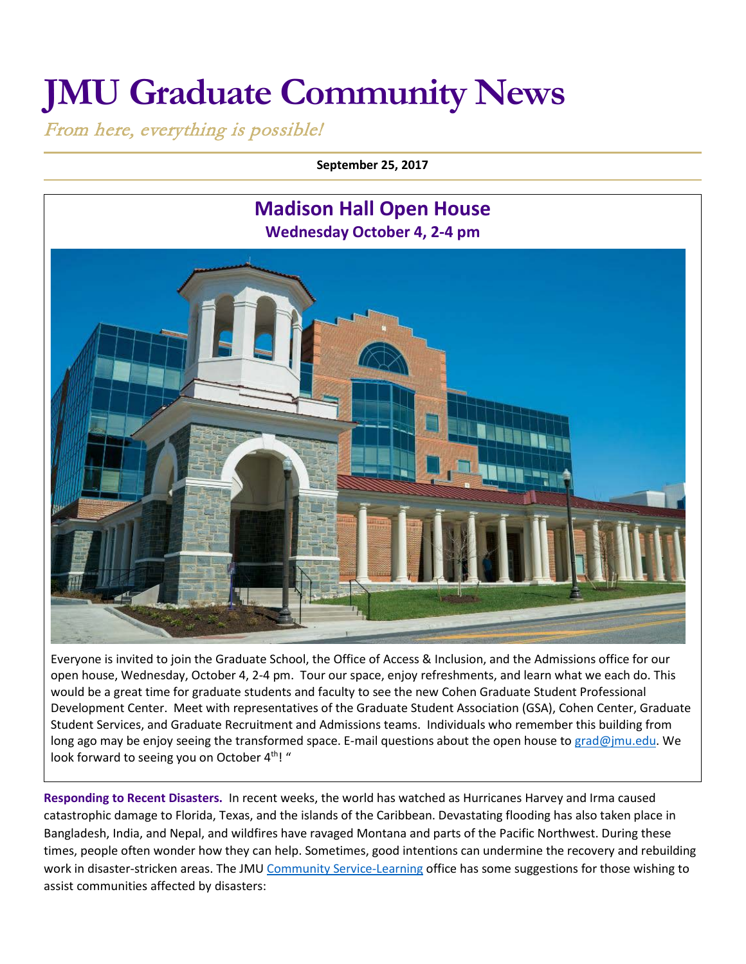## **JMU Graduate Community News**

From here, everything is possible!

**September 25, 2017**



Everyone is invited to join the Graduate School, the Office of Access & Inclusion, and the Admissions office for our open house, Wednesday, October 4, 2-4 pm. Tour our space, enjoy refreshments, and learn what we each do. This would be a great time for graduate students and faculty to see the new Cohen Graduate Student Professional Development Center. Meet with representatives of the Graduate Student Association (GSA), Cohen Center, Graduate Student Services, and Graduate Recruitment and Admissions teams. Individuals who remember this building from long ago may be enjoy seeing the transformed space. E-mail questions about the open house to [grad@jmu.edu.](mailto:grad@jmu.edu) We look forward to seeing you on October 4<sup>th</sup>! "

**Responding to Recent Disasters.** In recent weeks, the world has watched as Hurricanes Harvey and Irma caused catastrophic damage to Florida, Texas, and the islands of the Caribbean. Devastating flooding has also taken place in Bangladesh, India, and Nepal, and wildfires have ravaged Montana and parts of the Pacific Northwest. During these times, people often wonder how they can help. Sometimes, good intentions can undermine the recovery and rebuilding work in disaster-stricken areas. The JMU [Community Service-Learning](https://www.jmu.edu/csl/) office has some suggestions for those wishing to assist communities affected by disasters: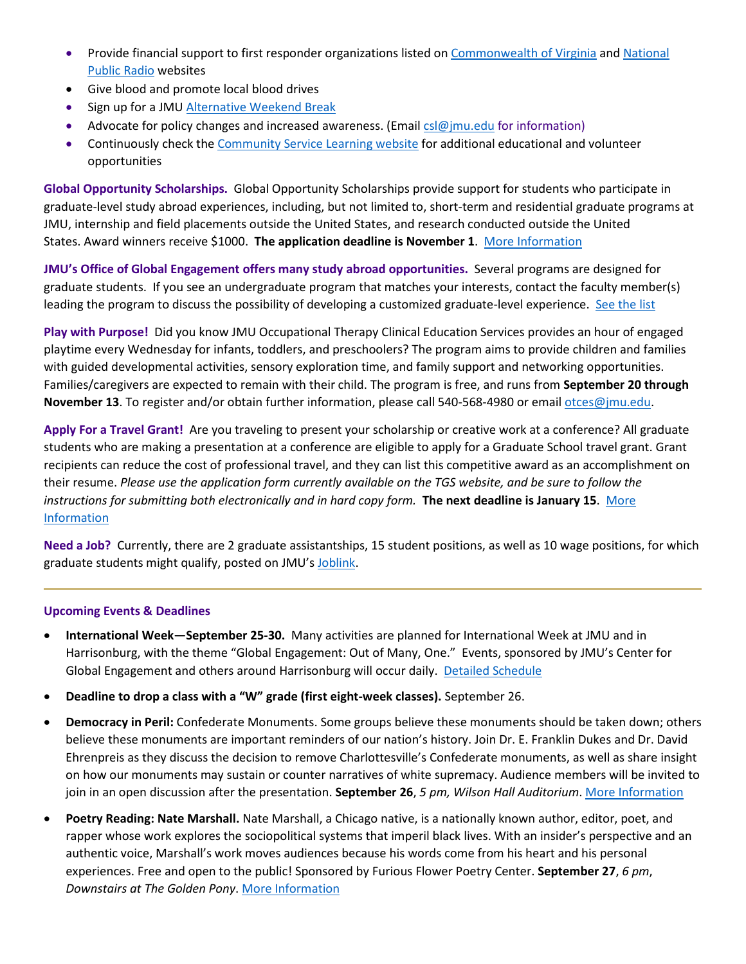- Provide financial support to first responder organizations listed on [Commonwealth of Virginia](http://www.dhrm.virginia.gov/docs/default-source/employee-programs/employeeprograms/disaster-relief-harvey-2017.pdf?sfvrsn=6) and National [Public Radio](http://www.npr.org/sections/thetwo-way/2017/09/10/549910104/ways-to-help-as-florida-is-dealt-catastrophic-blow-from-irma) websites
- Give blood and promote local blood drives
- Sign up for a JMU [Alternative Weekend Break](https://www.jmu.edu/abp/break-types/awb.shtml)
- Advocate for policy changes and increased awareness. (Email  $cs@jmu.edu$  for information)
- Continuously check th[e Community Service Learning](https://www.jmu.edu/csl/) website for additional educational and volunteer opportunities

**Global Opportunity Scholarships.** Global Opportunity Scholarships provide support for students who participate in graduate-level study abroad experiences, including, but not limited to, short-term and residential graduate programs at JMU, internship and field placements outside the United States, and research conducted outside the United States. Award winners receive \$1000. **The application deadline is November 1**. [More Information](https://www.jmu.edu/grad/current-students/awards/global-opportunity-scholarship.shtml)

**JMU's Office of Global Engagement offers many study abroad opportunities.** Several programs are designed for graduate students. If you see an undergraduate program that matches your interests, contact the faculty member(s) leading the program to discuss the possibility of developing a customized graduate-level experience. [See the list](http://www.jmu.edu/global/abroad/all-programs/index.shtml)

**Play with Purpose!** Did you know JMU Occupational Therapy Clinical Education Services provides an hour of engaged playtime every Wednesday for infants, toddlers, and preschoolers? The program aims to provide children and families with guided developmental activities, sensory exploration time, and family support and networking opportunities. Families/caregivers are expected to remain with their child. The program is free, and runs from **September 20 through November 13**. To register and/or obtain further information, please call 540-568-4980 or emai[l otces@jmu.edu.](mailto:otces@jmu.edu)

**Apply For a Travel Grant!** Are you traveling to present your scholarship or creative work at a conference? All graduate students who are making a presentation at a conference are eligible to apply for a Graduate School travel grant. Grant recipients can reduce the cost of professional travel, and they can list this competitive award as an accomplishment on their resume. *Please use the application form currently available on the TGS website, and be sure to follow the instructions for submitting both electronically and in hard copy form.* **The next deadline is January 15**. [More](http://www.jmu.edu/grad/current-students/awards/travel-grants.shtml)  [Information](http://www.jmu.edu/grad/current-students/awards/travel-grants.shtml)

**Need a Job?** Currently, there are 2 graduate assistantships, 15 student positions, as well as 10 wage positions, for which graduate students might qualify, posted on JMU's [Joblink.](https://joblink.jmu.edu/)

## **Upcoming Events & Deadlines**

- **International Week—September 25-30.** Many activities are planned for International Week at JMU and in Harrisonburg, with the theme "Global Engagement: Out of Many, One." Events, sponsored by JMU's Center for Global Engagement and others around Harrisonburg will occur daily. [Detailed Schedule](https://www.jmu.edu/global/get-involved/iweek/index.shtml)
- **Deadline to drop a class with a "W" grade (first eight-week classes).** September 26.
- **Democracy in Peril:** Confederate Monuments. Some groups believe these monuments should be taken down; others believe these monuments are important reminders of our nation's history. Join Dr. E. Franklin Dukes and Dr. David Ehrenpreis as they discuss the decision to remove Charlottesville's Confederate monuments, as well as share insight on how our monuments may sustain or counter narratives of white supremacy. Audience members will be invited to join in an open discussion after the presentation. **September 26**, *5 pm, Wilson Hall Auditorium*. [More Information](http://www.jmu.edu/events/history/2017/09-26-Democracy-in-Peril-Confederate-Monuments.shtml)
- **Poetry Reading: Nate Marshall.** Nate Marshall, a Chicago native, is a nationally known author, editor, poet, and rapper whose work explores the sociopolitical systems that imperil black lives. With an insider's perspective and an authentic voice, Marshall's work moves audiences because his words come from his heart and his personal experiences. Free and open to the public! Sponsored by Furious Flower Poetry Center. **September 27**, *6 pm*, *Downstairs at The Golden Pony*. [More Information](http://www.jmu.edu/events/furiousflower/2017/09/27-marshall.shtml)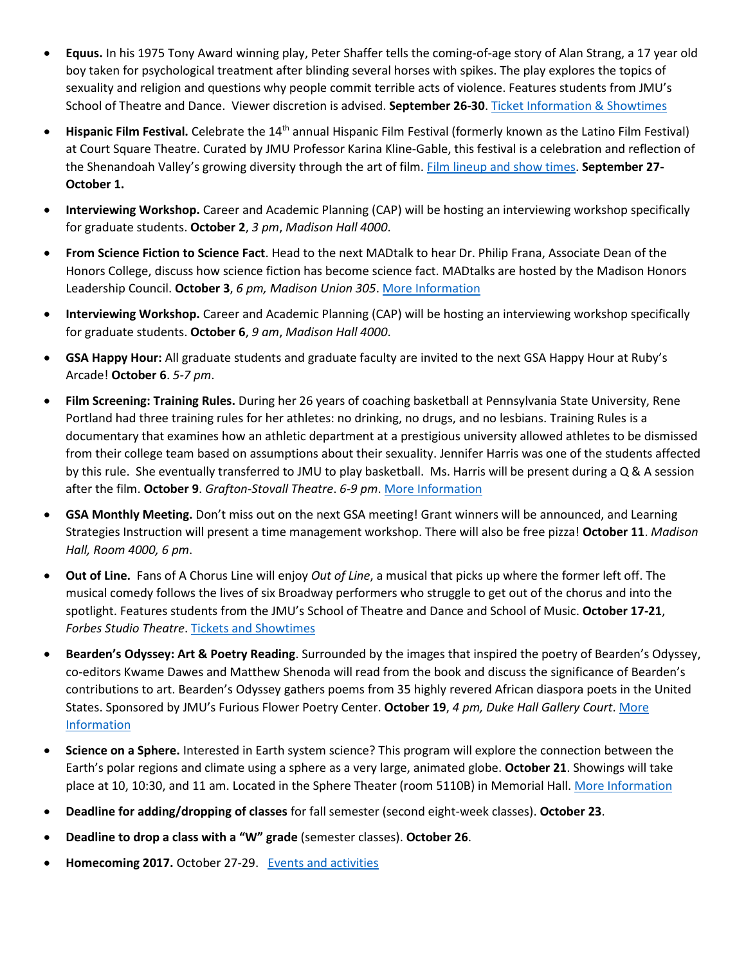- **Equus.** In his 1975 Tony Award winning play, Peter Shaffer tells the coming-of-age story of Alan Strang, a 17 year old boy taken for psychological treatment after blinding several horses with spikes. The play explores the topics of sexuality and religion and questions why people commit terrible acts of violence. Features students from JMU's School of Theatre and Dance. Viewer discretion is advised. **September 26-30**. [Ticket Information & Showtimes](http://www.jmu.edu/forbescenter/events/2017/09/26-equus.shtml)
- **Hispanic Film Festival.** Celebrate the 14th annual Hispanic Film Festival (formerly known as the Latino Film Festival) at Court Square Theatre. Curated by JMU Professor Karina Kline-Gable, this festival is a celebration and reflection of the Shenandoah Valley's growing diversity through the art of film[. Film lineup and show](http://www.valleyarts.org/filmscalendar/2017/9/27/hispanic-film-festival) times. **September 27- October 1.**
- **Interviewing Workshop.** Career and Academic Planning (CAP) will be hosting an interviewing workshop specifically for graduate students. **October 2**, *3 pm*, *Madison Hall 4000*.
- **From Science Fiction to Science Fact**. Head to the next MADtalk to hear Dr. Philip Frana, Associate Dean of the Honors College, discuss how science fiction has become science fact. MADtalks are hosted by the Madison Honors Leadership Council. **October 3**, *6 pm, Madison Union 305*. [More Information](http://www.jmu.edu/events/honors/2017/10-03-madtalk-frana.shtml)
- **Interviewing Workshop.** Career and Academic Planning (CAP) will be hosting an interviewing workshop specifically for graduate students. **October 6**, *9 am*, *Madison Hall 4000*.
- **GSA Happy Hour:** All graduate students and graduate faculty are invited to the next GSA Happy Hour at Ruby's Arcade! **October 6**. *5-7 pm*.
- **Film Screening: Training Rules.** During her 26 years of coaching basketball at Pennsylvania State University, Rene Portland had three training rules for her athletes: no drinking, no drugs, and no lesbians. Training Rules is a documentary that examines how an athletic department at a prestigious university allowed athletes to be dismissed from their college team based on assumptions about their sexuality. Jennifer Harris was one of the students affected by this rule. She eventually transferred to JMU to play basketball. Ms. Harris will be present during a Q & A session after the film. **October 9**. *Grafton-Stovall Theatre*. *6-9 pm*. [More Information](http://www.jmu.edu/events/caucusgenderequality/2017/10-09-training-rules.shtml)
- **GSA Monthly Meeting.** Don't miss out on the next GSA meeting! Grant winners will be announced, and Learning Strategies Instruction will present a time management workshop. There will also be free pizza! **October 11**. *Madison Hall, Room 4000, 6 pm*.
- **Out of Line.** Fans of A Chorus Line will enjoy *Out of Line*, a musical that picks up where the former left off. The musical comedy follows the lives of six Broadway performers who struggle to get out of the chorus and into the spotlight. Features students from the JMU's School of Theatre and Dance and School of Music. **October 17-21**, *Forbes Studio Theatre*[. Tickets and Showtimes](http://www.jmu.edu/forbescenter/events/2017/10/17-out-of-line.shtml)
- **Bearden's Odyssey: Art & Poetry Reading**. Surrounded by the images that inspired the poetry of Bearden's Odyssey, co-editors Kwame Dawes and Matthew Shenoda will read from the book and discuss the significance of Bearden's contributions to art. Bearden's Odyssey gathers poems from 35 highly revered African diaspora poets in the United States. Sponsored by JMU's Furious Flower Poetry Center. **October 19**, *4 pm, Duke Hall Gallery Court*. [More](http://www.jmu.edu/events/furiousflower/2017/10/19-dawes-shenoda.shtml)  [Information](http://www.jmu.edu/events/furiousflower/2017/10/19-dawes-shenoda.shtml)
- **Science on a Sphere.** Interested in Earth system science? This program will explore the connection between the Earth's polar regions and climate using a sphere as a very large, animated globe. **October 21**. Showings will take place at 10, 10:30, and 11 am. Located in the Sphere Theater (room 5110B) in Memorial Hall. [More Information](http://www.jmu.edu/events/stewardship/2017/10-21-earth-system-science-at-the-sphere-theater.shtml)
- **Deadline for adding/dropping of classes** for fall semester (second eight-week classes). **October 23**.
- **Deadline to drop a class with a "W" grade** (semester classes). **October 26**.
- **Homecoming 2017.** October 27-29. [Events and activities](http://www.alumni.jmu.edu/s/1591/gid3-Alumni/social.aspx?sid=1591&gid=3&pgid=2311)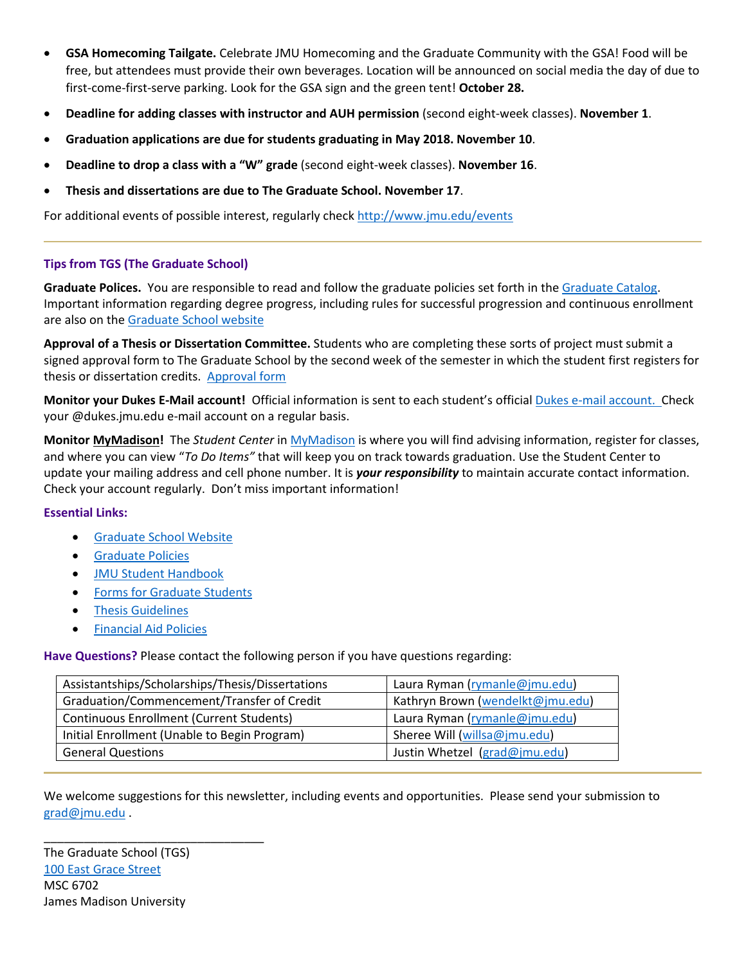- **GSA Homecoming Tailgate.** Celebrate JMU Homecoming and the Graduate Community with the GSA! Food will be free, but attendees must provide their own beverages. Location will be announced on social media the day of due to first-come-first-serve parking. Look for the GSA sign and the green tent! **October 28.**
- **Deadline for adding classes with instructor and AUH permission** (second eight-week classes). **November 1**.
- **Graduation applications are due for students graduating in May 2018. November 10**.
- **Deadline to drop a class with a "W" grade** (second eight-week classes). **November 16**.
- **Thesis and dissertations are due to The Graduate School. November 17**.

For additional events of possible interest, regularly check<http://www.jmu.edu/events>

## **Tips from TGS (The Graduate School)**

**Graduate Polices.** You are responsible to read and follow the graduate policies set forth in th[e Graduate Catalog.](http://jmu.edu/catalog) Important information regarding degree progress, including rules for successful progression and continuous enrollment are also on the [Graduate School website](http://www.jmu.edu/grad/current-students/degree-progress/beginning.shtml)

**Approval of a Thesis or Dissertation Committee.** Students who are completing these sorts of project must submit a signed approval form to The Graduate School by the second week of the semester in which the student first registers for thesis or dissertation credits. [Approval form](http://www.jmu.edu/grad/_files/CommitteeApprovalForm2014-15.pdf)

**Monitor your Dukes E-Mail account!** Official information is sent to each student's officia[l Dukes e-mail account.](http://www.jmu.edu/computing/helpdesk/selfhelp/DukesEmail.shtml) Check your @dukes.jmu.edu e-mail account on a regular basis.

**Monitor [MyMadison!](http://mymadison.jmu.edu/)** The *Student Center* in [MyMadison](http://mymadison.jmu.edu/) is where you will find advising information, register for classes, and where you can view "*To Do Items"* that will keep you on track towards graduation. Use the Student Center to update your mailing address and cell phone number. It is *your responsibility* to maintain accurate contact information. Check your account regularly. Don't miss important information!

## **Essential Links:**

- [Graduate School Website](http://www.jmu.edu/grad)
- [Graduate Policies](http://www.jmu.edu/catalog/index.shtml)
- [JMU Student Handbook](https://www.jmu.edu/osarp/handbook/index.shtml)
- [Forms for Graduate Students](http://www.jmu.edu/grad/current-students/graduate-forms.shtml)
- [Thesis Guidelines](http://www.jmu.edu/grad/current-students/thesis-dissertation/information.shtml)
- [Financial Aid Policies](http://www.jmu.edu/finaid/sap.shtml)

**Have Questions?** Please contact the following person if you have questions regarding:

| Assistantships/Scholarships/Thesis/Dissertations | Laura Ryman (rymanle@jmu.edu)    |
|--------------------------------------------------|----------------------------------|
| Graduation/Commencement/Transfer of Credit       | Kathryn Brown (wendelkt@jmu.edu) |
| <b>Continuous Enrollment (Current Students)</b>  | Laura Ryman (rymanle@jmu.edu)    |
| Initial Enrollment (Unable to Begin Program)     | Sheree Will (willsa@jmu.edu)     |
| <b>General Questions</b>                         | Justin Whetzel (grad@jmu.edu)    |

We welcome suggestions for this newsletter, including events and opportunities. Please send your submission to [grad@jmu.edu](mailto:grad@jmu.edu) .

The Graduate School (TGS) [100 East Grace Street](http://www.jmu.edu/directory/buildings/MADI.shtml) MSC 6702 James Madison University

\_\_\_\_\_\_\_\_\_\_\_\_\_\_\_\_\_\_\_\_\_\_\_\_\_\_\_\_\_\_\_\_\_